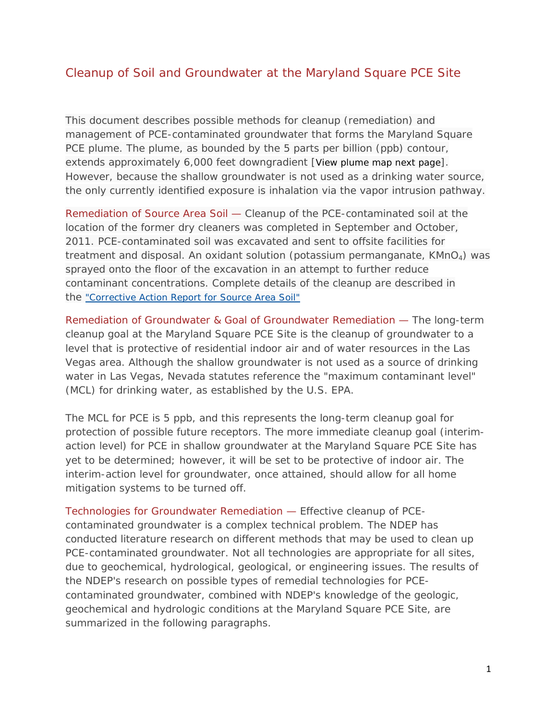## Cleanup of Soil and Groundwater at the Maryland Square PCE Site

This document describes possible methods for cleanup (remediation) and management of PCE-contaminated groundwater that forms the Maryland Square PCE plume. The plume, as bounded by the 5 parts per billion (ppb) contour, extends approximately 6,000 feet downgradient [View plume map next page]. However, because the shallow groundwater is not used as a drinking water source, the only currently identified exposure is inhalation via the vapor intrusion pathway.

Remediation of Source Area Soil — Cleanup of the PCE-contaminated soil at the location of the former dry cleaners was completed in September and October, 2011. PCE-contaminated soil was excavated and sent to offsite facilities for treatment and disposal. An oxidant solution (potassium permanganate,  $KMnO<sub>4</sub>$ ) was sprayed onto the floor of the excavation in an attempt to further reduce contaminant concentrations. Complete details of the cleanup are described in the "Corrective Action Report for Source Area Soil"

Remediation of Groundwater & Goal of Groundwater Remediation — The long-term cleanup goal at the Maryland Square PCE Site is the cleanup of groundwater to a level that is protective of residential indoor air and of water resources in the Las Vegas area. Although the shallow groundwater is not used as a source of drinking water in Las Vegas, Nevada statutes reference the "maximum contaminant level" (MCL) for drinking water, as established by the U.S. EPA.

The MCL for PCE is 5 ppb, and this represents the long-term cleanup goal for protection of possible future receptors. The more immediate cleanup goal (interimaction level) for PCE in shallow groundwater at the Maryland Square PCE Site has yet to be determined; however, it will be set to be protective of indoor air. The interim-action level for groundwater, once attained, should allow for all home mitigation systems to be turned off.

Technologies for Groundwater Remediation — Effective cleanup of PCEcontaminated groundwater is a complex technical problem. The NDEP has conducted literature research on different methods that may be used to clean up PCE-contaminated groundwater. Not all technologies are appropriate for all sites, due to geochemical, hydrological, geological, or engineering issues. The results of the NDEP's research on possible types of remedial technologies for PCEcontaminated groundwater, combined with NDEP's knowledge of the geologic, geochemical and hydrologic conditions at the Maryland Square PCE Site, are summarized in the following paragraphs.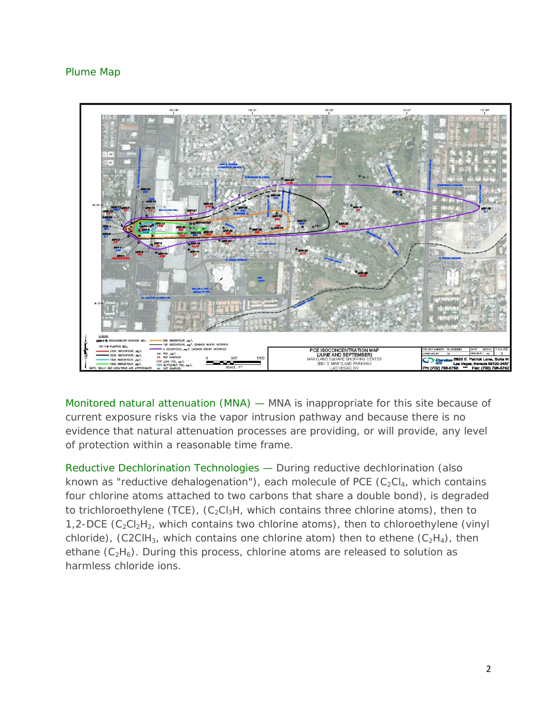## Plume Map



Monitored natural attenuation (MNA) — MNA is inappropriate for this site because of current exposure risks via the vapor intrusion pathway and because there is no evidence that natural attenuation processes are providing, or will provide, any level of protection within a reasonable time frame.

Reductive Dechlorination Technologies — During reductive dechlorination (also known as "reductive dehalogenation"), each molecule of PCE  $(C_2Cl_4$ , which contains four chlorine atoms attached to two carbons that share a double bond), is degraded to trichloroethylene (TCE),  $(C_2Cl_3H$ , which contains three chlorine atoms), then to 1,2-DCE  $(C_2Cl_2H_2$ , which contains two chlorine atoms), then to chloroethylene (vinyl chloride), (C2ClH<sub>3</sub>, which contains one chlorine atom) then to ethene  $(C_2H_4)$ , then ethane  $(C_2H_6)$ . During this process, chlorine atoms are released to solution as harmless chloride ions.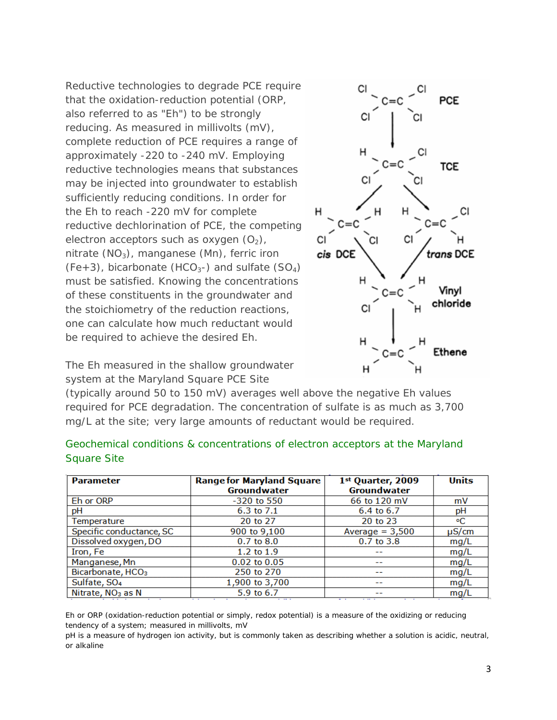Reductive technologies to degrade PCE require that the oxidation-reduction potential (ORP, also referred to as "Eh") to be strongly reducing. As measured in millivolts (mV), complete reduction of PCE requires a range of approximately -220 to -240 mV. Employing reductive technologies means that substances may be injected into groundwater to establish sufficiently reducing conditions. In order for the Eh to reach -220 mV for complete reductive dechlorination of PCE, the competing electron acceptors such as oxygen  $(O_2)$ , nitrate  $(NO<sub>3</sub>)$ , manganese  $(Mn)$ , ferric iron  $(Fe+3)$ , bicarbonate  $(HCO<sub>3</sub>-)$  and sulfate  $(SO<sub>4</sub>)$ must be satisfied. Knowing the concentrations of these constituents in the groundwater and the stoichiometry of the reduction reactions, one can calculate how much reductant would be required to achieve the desired Eh.



The Eh measured in the shallow groundwater system at the Maryland Square PCE Site

(typically around 50 to 150 mV) averages well above the negative Eh values required for PCE degradation. The concentration of sulfate is as much as 3,700 mg/L at the site; very large amounts of reductant would be required.

| <b>Parameter</b>              | <b>Range for Maryland Square</b><br>Groundwater | 1st Quarter, 2009<br>Groundwater | <b>Units</b> |
|-------------------------------|-------------------------------------------------|----------------------------------|--------------|
| Eh or ORP                     | $-320$ to 550                                   | 66 to 120 mV                     | mV           |
| рH                            | 6.3 to 7.1                                      | 6.4 to 6.7                       | pH           |
| Temperature                   | 20 to 27                                        | 20 to 23                         | ۰C           |
| Specific conductance, SC      | 900 to 9,100                                    | Average $= 3,500$                | $\mu$ S/cm   |
| Dissolved oxygen, DO          | $0.7$ to $8.0$                                  | 0.7 to 3.8                       | mg/L         |
| Iron, Fe                      | 1.2 to $1.9$                                    | --                               | mg/L         |
| Manganese, Mn                 | $0.02$ to $0.05$                                | --                               | mg/L         |
| Bicarbonate, HCO <sub>3</sub> | 250 to 270                                      | --                               | mg/L         |
| Sulfate, SO <sub>4</sub>      | 1,900 to 3,700                                  | --                               | mg/L         |
| Nitrate, NO <sub>3</sub> as N | 5.9 to 6.7                                      | --                               | mg/l         |

| Geochemical conditions & concentrations of electron acceptors at the Maryland |  |  |  |  |
|-------------------------------------------------------------------------------|--|--|--|--|
| Square Site                                                                   |  |  |  |  |

Eh or ORP (oxidation-reduction potential or simply, redox potential) is a measure of the oxidizing or reducing tendency of a system; measured in millivolts, mV

pH is a measure of hydrogen ion activity, but is commonly taken as describing whether a solution is acidic, neutral, or alkaline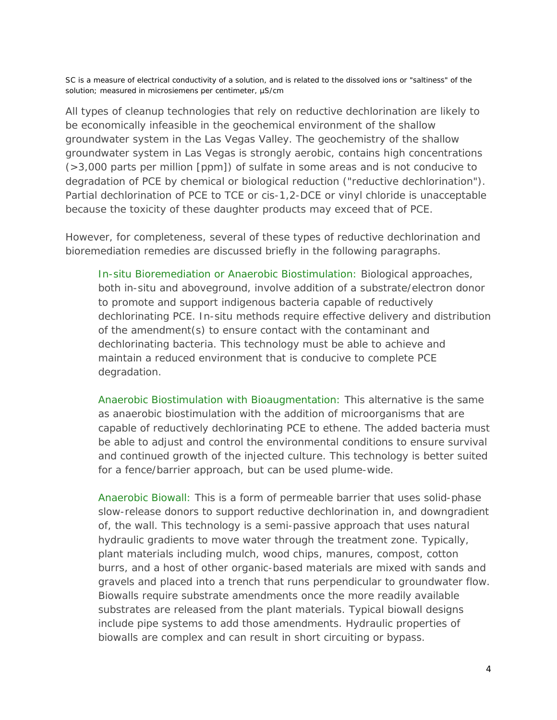SC is a measure of electrical conductivity of a solution, and is related to the dissolved ions or "saltiness" of the solution; measured in microsiemens per centimeter, µS/cm

All types of cleanup technologies that rely on reductive dechlorination are likely to be economically infeasible in the geochemical environment of the shallow groundwater system in the Las Vegas Valley. The geochemistry of the shallow groundwater system in Las Vegas is strongly aerobic, contains high concentrations (>3,000 parts per million [ppm]) of sulfate in some areas and is not conducive to degradation of PCE by chemical or biological reduction ("reductive dechlorination"). Partial dechlorination of PCE to TCE or cis-1,2-DCE or vinyl chloride is unacceptable because the toxicity of these daughter products may exceed that of PCE.

However, for completeness, several of these types of reductive dechlorination and bioremediation remedies are discussed briefly in the following paragraphs.

*In-situ Bioremediation or Anaerobic Biostimulation:* Biological approaches, both in-situ and aboveground, involve addition of a substrate/electron donor to promote and support indigenous bacteria capable of reductively dechlorinating PCE. In-situ methods require effective delivery and distribution of the amendment(s) to ensure contact with the contaminant and dechlorinating bacteria. This technology must be able to achieve and maintain a reduced environment that is conducive to complete PCE degradation.

*Anaerobic Biostimulation with Bioaugmentation:* This alternative is the same as anaerobic biostimulation with the addition of microorganisms that are capable of reductively dechlorinating PCE to ethene. The added bacteria must be able to adjust and control the environmental conditions to ensure survival and continued growth of the injected culture. This technology is better suited for a fence/barrier approach, but can be used plume-wide.

*Anaerobic Biowall:* This is a form of permeable barrier that uses solid-phase slow-release donors to support reductive dechlorination in, and downgradient of, the wall. This technology is a semi-passive approach that uses natural hydraulic gradients to move water through the treatment zone. Typically, plant materials including mulch, wood chips, manures, compost, cotton burrs, and a host of other organic-based materials are mixed with sands and gravels and placed into a trench that runs perpendicular to groundwater flow. Biowalls require substrate amendments once the more readily available substrates are released from the plant materials. Typical biowall designs include pipe systems to add those amendments. Hydraulic properties of biowalls are complex and can result in short circuiting or bypass.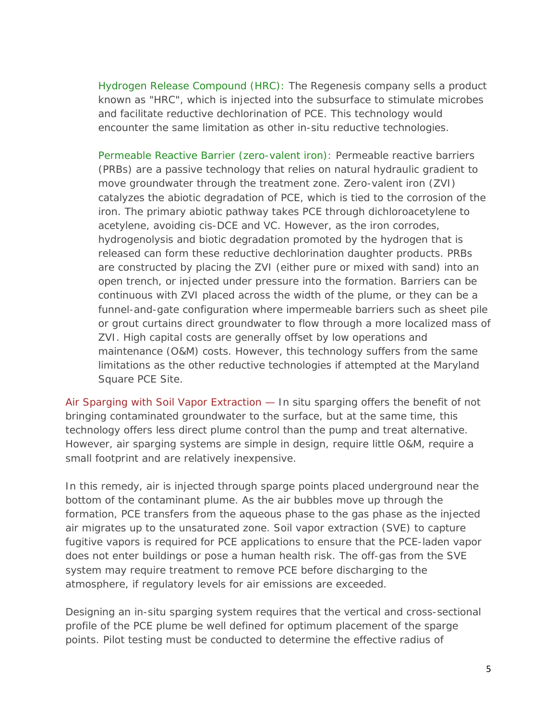*Hydrogen Release Compound (HRC):* The Regenesis company sells a product known as "HRC", which is injected into the subsurface to stimulate microbes and facilitate reductive dechlorination of PCE. This technology would encounter the same limitation as other in-situ reductive technologies.

*Permeable Reactive Barrier (zero-valent iron):* Permeable reactive barriers (PRBs) are a passive technology that relies on natural hydraulic gradient to move groundwater through the treatment zone. Zero-valent iron (ZVI) catalyzes the abiotic degradation of PCE, which is tied to the corrosion of the iron. The primary abiotic pathway takes PCE through dichloroacetylene to acetylene, avoiding cis-DCE and VC. However, as the iron corrodes, hydrogenolysis and biotic degradation promoted by the hydrogen that is released can form these reductive dechlorination daughter products. PRBs are constructed by placing the ZVI (either pure or mixed with sand) into an open trench, or injected under pressure into the formation. Barriers can be continuous with ZVI placed across the width of the plume, or they can be a funnel-and-gate configuration where impermeable barriers such as sheet pile or grout curtains direct groundwater to flow through a more localized mass of ZVI. High capital costs are generally offset by low operations and maintenance (O&M) costs. However, this technology suffers from the same limitations as the other reductive technologies if attempted at the Maryland Square PCE Site.

Air Sparging with Soil Vapor Extraction — In situ sparging offers the benefit of not bringing contaminated groundwater to the surface, but at the same time, this technology offers less direct plume control than the pump and treat alternative. However, air sparging systems are simple in design, require little O&M, require a small footprint and are relatively inexpensive.

In this remedy, air is injected through sparge points placed underground near the bottom of the contaminant plume. As the air bubbles move up through the formation, PCE transfers from the aqueous phase to the gas phase as the injected air migrates up to the unsaturated zone. Soil vapor extraction (SVE) to capture fugitive vapors is required for PCE applications to ensure that the PCE-laden vapor does not enter buildings or pose a human health risk. The off-gas from the SVE system may require treatment to remove PCE before discharging to the atmosphere, if regulatory levels for air emissions are exceeded.

Designing an in-situ sparging system requires that the vertical and cross-sectional profile of the PCE plume be well defined for optimum placement of the sparge points. Pilot testing must be conducted to determine the effective radius of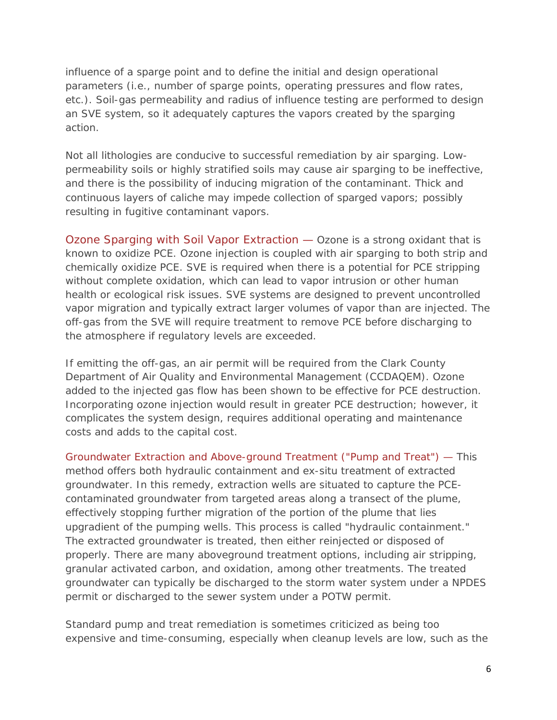influence of a sparge point and to define the initial and design operational parameters (i.e., number of sparge points, operating pressures and flow rates, etc.). Soil-gas permeability and radius of influence testing are performed to design an SVE system, so it adequately captures the vapors created by the sparging action.

Not all lithologies are conducive to successful remediation by air sparging. Lowpermeability soils or highly stratified soils may cause air sparging to be ineffective, and there is the possibility of inducing migration of the contaminant. Thick and continuous layers of caliche may impede collection of sparged vapors; possibly resulting in fugitive contaminant vapors.

Ozone Sparging with Soil Vapor Extraction — Ozone is a strong oxidant that is known to oxidize PCE. Ozone injection is coupled with air sparging to both strip and chemically oxidize PCE. SVE is required when there is a potential for PCE stripping without complete oxidation, which can lead to vapor intrusion or other human health or ecological risk issues. SVE systems are designed to prevent uncontrolled vapor migration and typically extract larger volumes of vapor than are injected. The off-gas from the SVE will require treatment to remove PCE before discharging to the atmosphere if regulatory levels are exceeded.

If emitting the off-gas, an air permit will be required from the Clark County Department of Air Quality and Environmental Management (CCDAQEM). Ozone added to the injected gas flow has been shown to be effective for PCE destruction. Incorporating ozone injection would result in greater PCE destruction; however, it complicates the system design, requires additional operating and maintenance costs and adds to the capital cost.

Groundwater Extraction and Above-ground Treatment ("Pump and Treat") — This method offers both hydraulic containment and ex-situ treatment of extracted groundwater. In this remedy, extraction wells are situated to capture the PCEcontaminated groundwater from targeted areas along a transect of the plume, effectively stopping further migration of the portion of the plume that lies upgradient of the pumping wells. This process is called "hydraulic containment." The extracted groundwater is treated, then either reinjected or disposed of properly. There are many aboveground treatment options, including air stripping, granular activated carbon, and oxidation, among other treatments. The treated groundwater can typically be discharged to the storm water system under a NPDES permit or discharged to the sewer system under a POTW permit.

Standard pump and treat remediation is sometimes criticized as being too expensive and time-consuming, especially when cleanup levels are low, such as the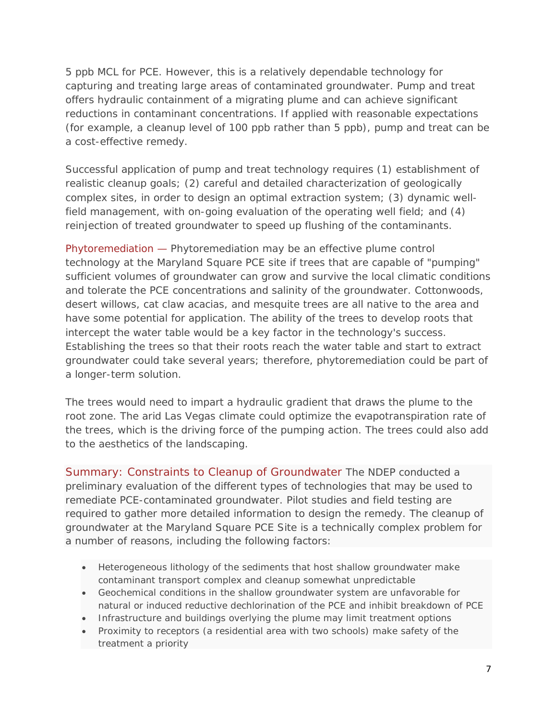5 ppb MCL for PCE. However, this is a relatively dependable technology for capturing and treating large areas of contaminated groundwater. Pump and treat offers hydraulic containment of a migrating plume and can achieve significant reductions in contaminant concentrations. If applied with reasonable expectations (for example, a cleanup level of 100 ppb rather than 5 ppb), pump and treat can be a cost-effective remedy.

Successful application of pump and treat technology requires (1) establishment of realistic cleanup goals; (2) careful and detailed characterization of geologically complex sites, in order to design an optimal extraction system; (3) dynamic wellfield management, with on-going evaluation of the operating well field; and (4) reinjection of treated groundwater to speed up flushing of the contaminants.

Phytoremediation — Phytoremediation may be an effective plume control technology at the Maryland Square PCE site if trees that are capable of "pumping" sufficient volumes of groundwater can grow and survive the local climatic conditions and tolerate the PCE concentrations and salinity of the groundwater. Cottonwoods, desert willows, cat claw acacias, and mesquite trees are all native to the area and have some potential for application. The ability of the trees to develop roots that intercept the water table would be a key factor in the technology's success. Establishing the trees so that their roots reach the water table and start to extract groundwater could take several years; therefore, phytoremediation could be part of a longer-term solution.

The trees would need to impart a hydraulic gradient that draws the plume to the root zone. The arid Las Vegas climate could optimize the evapotranspiration rate of the trees, which is the driving force of the pumping action. The trees could also add to the aesthetics of the landscaping.

Summary: Constraints to Cleanup of Groundwater The NDEP conducted a preliminary evaluation of the different types of technologies that may be used to remediate PCE-contaminated groundwater. Pilot studies and field testing are required to gather more detailed information to design the remedy. The cleanup of groundwater at the Maryland Square PCE Site is a technically complex problem for a number of reasons, including the following factors:

- Heterogeneous lithology of the sediments that host shallow groundwater make contaminant transport complex and cleanup somewhat unpredictable
- Geochemical conditions in the shallow groundwater system are unfavorable for natural or induced reductive dechlorination of the PCE and inhibit breakdown of PCE
- Infrastructure and buildings overlying the plume may limit treatment options
- Proximity to receptors (a residential area with two schools) make safety of the treatment a priority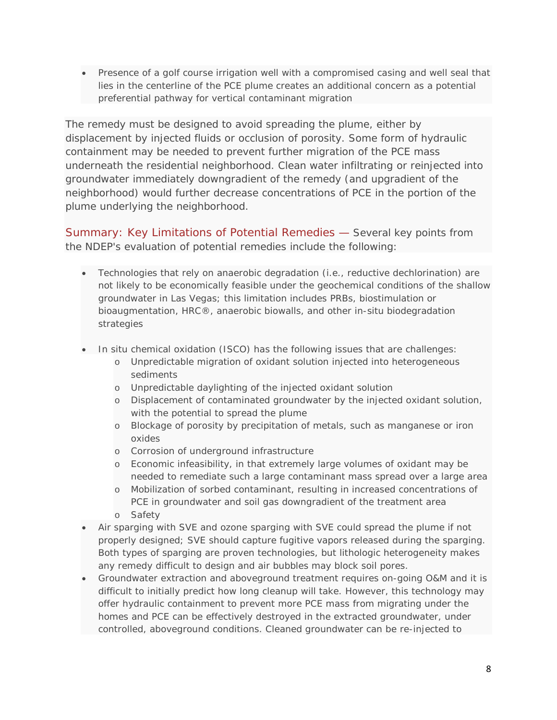• Presence of a golf course irrigation well with a compromised casing and well seal that lies in the centerline of the PCE plume creates an additional concern as a potential preferential pathway for vertical contaminant migration

The remedy must be designed to avoid spreading the plume, either by displacement by injected fluids or occlusion of porosity. Some form of hydraulic containment may be needed to prevent further migration of the PCE mass underneath the residential neighborhood. Clean water infiltrating or reinjected into groundwater immediately downgradient of the remedy (and upgradient of the neighborhood) would further decrease concentrations of PCE in the portion of the plume underlying the neighborhood.

Summary: Key Limitations of Potential Remedies — Several key points from the NDEP's evaluation of potential remedies include the following:

- Technologies that rely on anaerobic degradation (i.e., reductive dechlorination) are not likely to be economically feasible under the geochemical conditions of the shallow groundwater in Las Vegas; this limitation includes PRBs, biostimulation or bioaugmentation, HRC®, anaerobic biowalls, and other in-situ biodegradation strategies
- In situ chemical oxidation (ISCO) has the following issues that are challenges:
	- o Unpredictable migration of oxidant solution injected into heterogeneous sediments
	- o Unpredictable daylighting of the injected oxidant solution
	- o Displacement of contaminated groundwater by the injected oxidant solution, with the potential to spread the plume
	- o Blockage of porosity by precipitation of metals, such as manganese or iron oxides
	- o Corrosion of underground infrastructure
	- o Economic infeasibility, in that extremely large volumes of oxidant may be needed to remediate such a large contaminant mass spread over a large area
	- o Mobilization of sorbed contaminant, resulting in increased concentrations of PCE in groundwater and soil gas downgradient of the treatment area
	- o Safety
- Air sparging with SVE and ozone sparging with SVE could spread the plume if not properly designed; SVE should capture fugitive vapors released during the sparging. Both types of sparging are proven technologies, but lithologic heterogeneity makes any remedy difficult to design and air bubbles may block soil pores.
- Groundwater extraction and aboveground treatment requires on-going O&M and it is difficult to initially predict how long cleanup will take. However, this technology may offer hydraulic containment to prevent more PCE mass from migrating under the homes and PCE can be effectively destroyed in the extracted groundwater, under controlled, aboveground conditions. Cleaned groundwater can be re-injected to